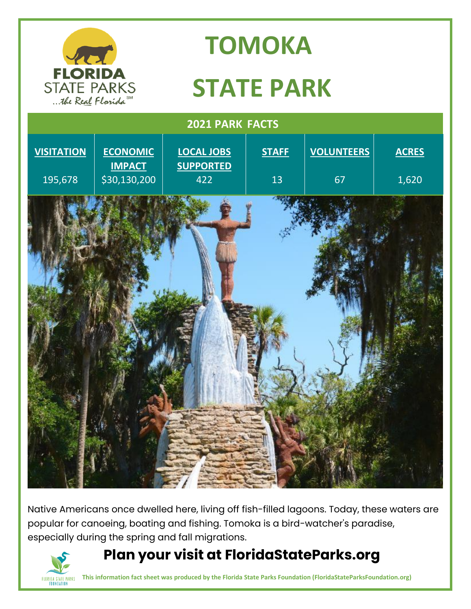

Native Americans once dwelled here, living off fish-filled lagoons. Today, these waters are popular for canoeing, boating and fishing. Tomoka is a bird-watcher's paradise, especially during the spring and fall migrations.

# **Plan your visit at FloridaStateParks.org**



**This information fact sheet was produced by the Florida State Parks Foundation (FloridaStateParksFoundation.org)**